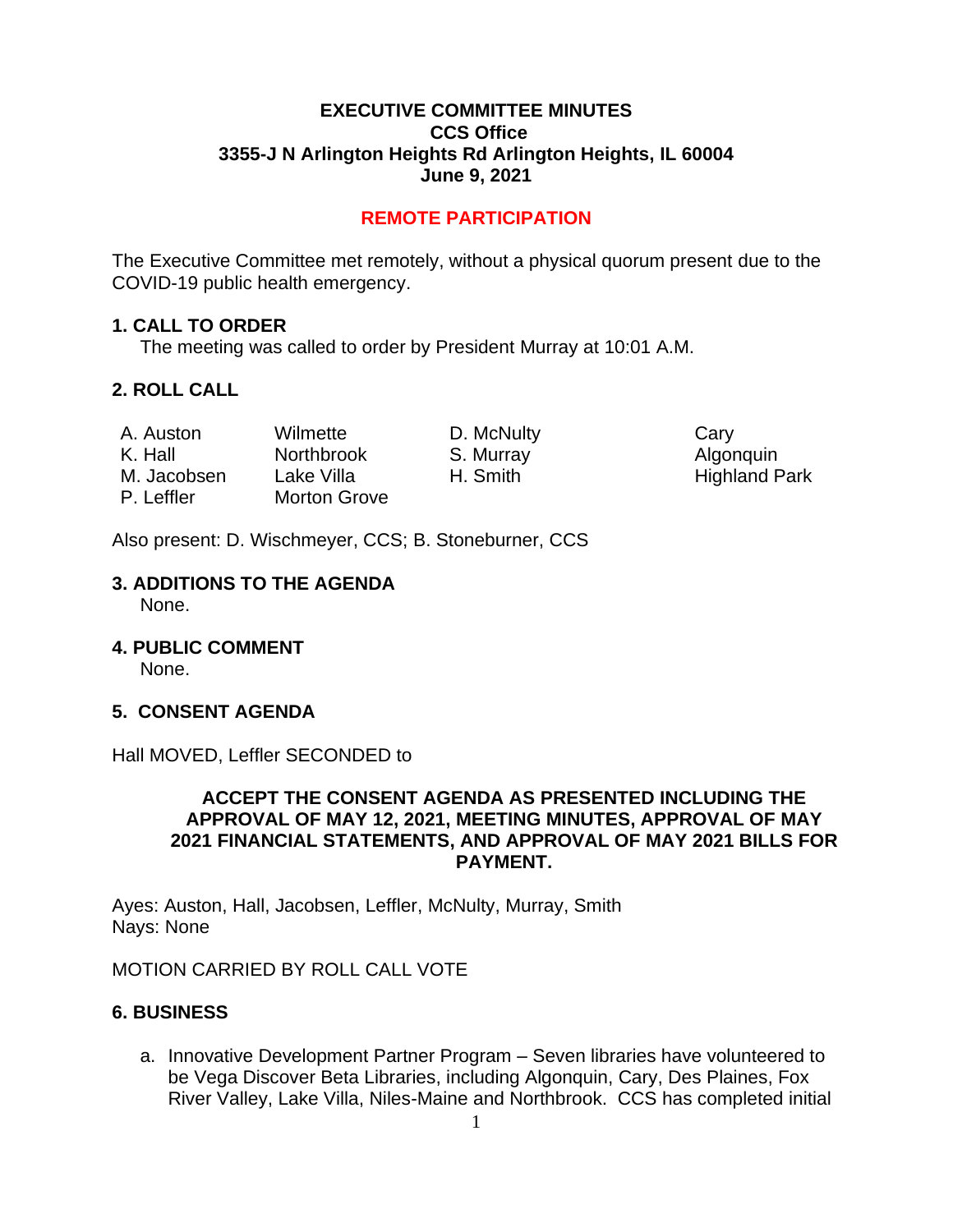#### **EXECUTIVE COMMITTEE MINUTES CCS Office 3355-J N Arlington Heights Rd Arlington Heights, IL 60004 June 9, 2021**

# **REMOTE PARTICIPATION**

The Executive Committee met remotely, without a physical quorum present due to the COVID-19 public health emergency.

#### **1. CALL TO ORDER**

The meeting was called to order by President Murray at 10:01 A.M.

# **2. ROLL CALL**

| A. Auston   | Wilmette            | D. McNulty | Cary |
|-------------|---------------------|------------|------|
| K. Hall     | <b>Northbrook</b>   | S. Murray  | Algo |
| M. Jacobsen | Lake Villa          | H. Smith   | High |
| P. Leffler  | <b>Morton Grove</b> |            |      |

Algonquin Highland Park

Also present: D. Wischmeyer, CCS; B. Stoneburner, CCS

# **3. ADDITIONS TO THE AGENDA**

None.

**4. PUBLIC COMMENT** 

None.

# **5. CONSENT AGENDA**

Hall MOVED, Leffler SECONDED to

#### **ACCEPT THE CONSENT AGENDA AS PRESENTED INCLUDING THE APPROVAL OF MAY 12, 2021, MEETING MINUTES, APPROVAL OF MAY 2021 FINANCIAL STATEMENTS, AND APPROVAL OF MAY 2021 BILLS FOR PAYMENT.**

Ayes: Auston, Hall, Jacobsen, Leffler, McNulty, Murray, Smith Nays: None

MOTION CARRIED BY ROLL CALL VOTE

# **6. BUSINESS**

a. Innovative Development Partner Program – Seven libraries have volunteered to be Vega Discover Beta Libraries, including Algonquin, Cary, Des Plaines, Fox River Valley, Lake Villa, Niles-Maine and Northbrook. CCS has completed initial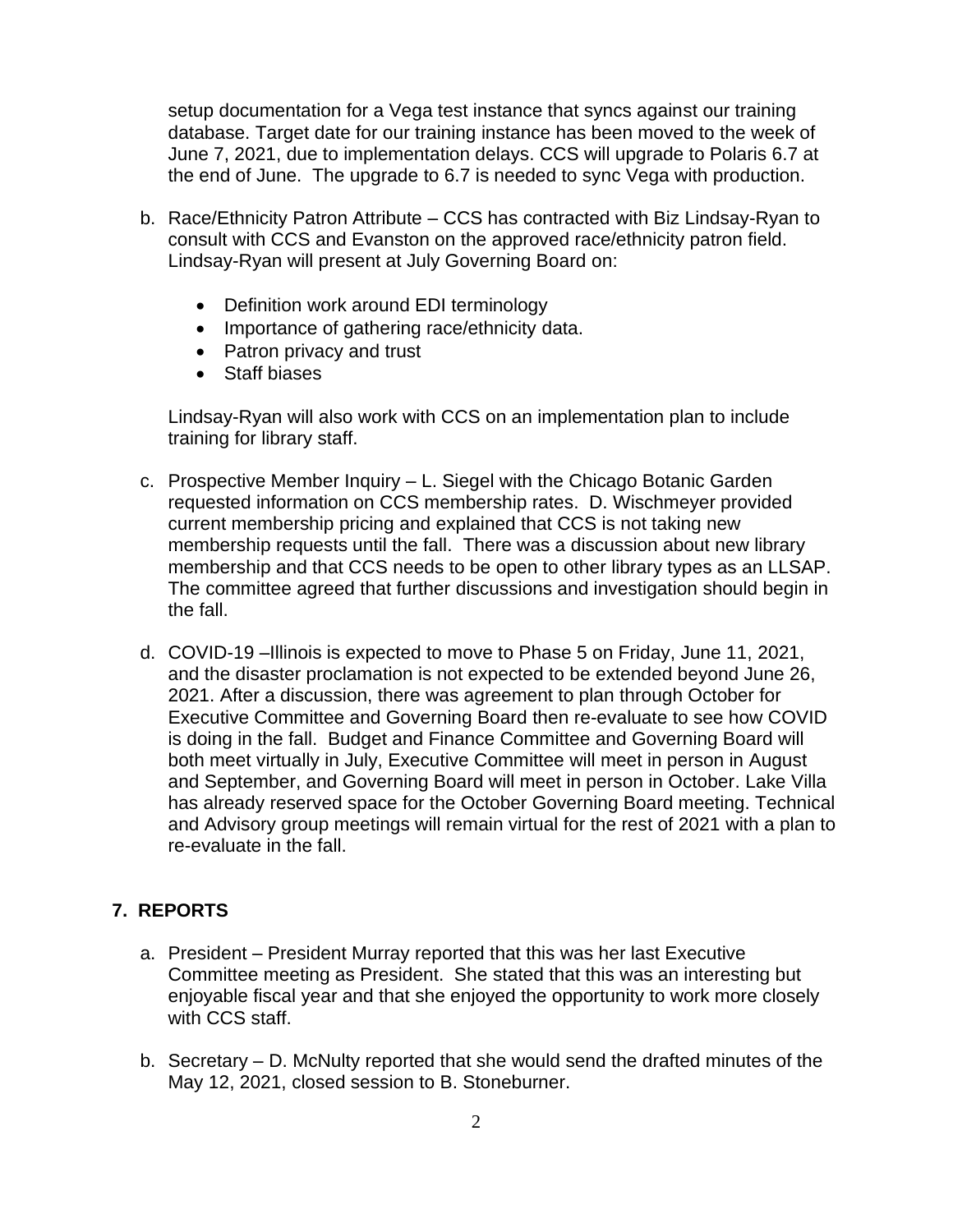setup documentation for a Vega test instance that syncs against our training database. Target date for our training instance has been moved to the week of June 7, 2021, due to implementation delays. CCS will upgrade to Polaris 6.7 at the end of June. The upgrade to 6.7 is needed to sync Vega with production.

- b. Race/Ethnicity Patron Attribute CCS has contracted with Biz Lindsay-Ryan to consult with CCS and Evanston on the approved race/ethnicity patron field. Lindsay-Ryan will present at July Governing Board on:
	- Definition work around EDI terminology
	- Importance of gathering race/ethnicity data.
	- Patron privacy and trust
	- Staff biases

Lindsay-Ryan will also work with CCS on an implementation plan to include training for library staff.

- c. Prospective Member Inquiry L. Siegel with the Chicago Botanic Garden requested information on CCS membership rates. D. Wischmeyer provided current membership pricing and explained that CCS is not taking new membership requests until the fall. There was a discussion about new library membership and that CCS needs to be open to other library types as an LLSAP. The committee agreed that further discussions and investigation should begin in the fall.
- d. COVID-19 –Illinois is expected to move to Phase 5 on Friday, June 11, 2021, and the disaster proclamation is not expected to be extended beyond June 26, 2021. After a discussion, there was agreement to plan through October for Executive Committee and Governing Board then re-evaluate to see how COVID is doing in the fall. Budget and Finance Committee and Governing Board will both meet virtually in July, Executive Committee will meet in person in August and September, and Governing Board will meet in person in October. Lake Villa has already reserved space for the October Governing Board meeting. Technical and Advisory group meetings will remain virtual for the rest of 2021 with a plan to re-evaluate in the fall.

# **7. REPORTS**

- a. President President Murray reported that this was her last Executive Committee meeting as President. She stated that this was an interesting but enjoyable fiscal year and that she enjoyed the opportunity to work more closely with CCS staff.
- b. Secretary D. McNulty reported that she would send the drafted minutes of the May 12, 2021, closed session to B. Stoneburner.